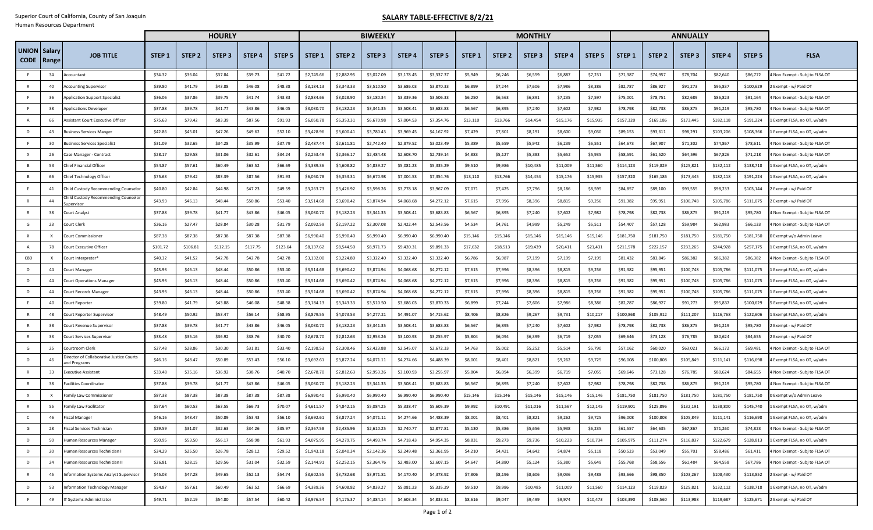Human Resources Department

## **SALARY TABLE-EFFECTIVE 8/2/21**

|                               |              |                                                         |                   | <b>HOURLY</b>     |                   |                   | <b>BIWEEKLY</b>   |                   |                   |                   |                   | <b>MONTHLY</b>    |                   |                   |                   |                   | <b>ANNUALLY</b>   |                   |                   |                   |                   |                   |                                |
|-------------------------------|--------------|---------------------------------------------------------|-------------------|-------------------|-------------------|-------------------|-------------------|-------------------|-------------------|-------------------|-------------------|-------------------|-------------------|-------------------|-------------------|-------------------|-------------------|-------------------|-------------------|-------------------|-------------------|-------------------|--------------------------------|
| UNION   Salary<br><b>CODE</b> | Range        | <b>JOB TITLE</b>                                        | STEP <sub>1</sub> | STEP <sub>2</sub> | STEP <sub>3</sub> | STEP <sub>4</sub> | STEP <sub>5</sub> | STEP <sub>1</sub> | STEP <sub>2</sub> | STEP <sub>3</sub> | STEP <sub>4</sub> | STEP <sub>5</sub> | STEP <sub>1</sub> | STEP <sub>2</sub> | STEP <sub>3</sub> | STEP <sub>4</sub> | STEP <sub>5</sub> | STEP <sub>1</sub> | STEP <sub>2</sub> | STEP <sub>3</sub> | STEP <sub>4</sub> | STEP <sub>5</sub> | <b>FLSA</b>                    |
|                               | 34           | ccountant                                               | \$34.32           | \$36.04           | \$37.84           | \$39.73           | \$41.72           | \$2,745.66        | \$2,882.95        | \$3,027.09        | \$3,178.45        | \$3,337.37        | \$5,949           | \$6,246           | \$6,559           | \$6,887           | \$7,231           | \$71,387          | \$74,957          | \$78,704          | \$82,640          | \$86,772          | 4 Non Exempt - Subj to FLSA OT |
|                               | 40           | ccounting Supervisor                                    | \$39.80           | \$41.79           | \$43.88           | \$46.08           | \$48.38           | \$3,184.13        | \$3,343.33        | \$3,510.50        | \$3,686.03        | \$3,870.33        | \$6,899           | \$7,244           | \$7,606           | \$7,986           | \$8,386           | \$82,787          | \$86,927          | \$91,273          | \$95,837          | \$100,629         | Exempt - w/ Paid OT            |
|                               | 36           | Application Support Specialist                          | \$36.06           | \$37.86           | \$39.75           | \$41.74           | \$43.83           | \$2,884.66        | \$3,028.90        | \$3,180.34        | \$3,339.36        | \$3,506.33        | \$6,250           | \$6,563           | \$6,891           | \$7,235           | \$7,597           | \$75,001          | \$78,751          | \$82,689          | \$86,823          | \$91,164          | 4 Non Exempt - Subj to FLSA OT |
|                               | 38           | Applications Developer                                  | \$37.88           | \$39.78           | \$41.77           | \$43.86           | \$46.05           | \$3,030.70        | \$3,182.23        | \$3,341.35        | \$3,508.41        | \$3,683.83        | \$6,567           | \$6,895           | \$7,240           | \$7,602           | \$7,982           | \$78,798          | \$82,738          | \$86,875          | \$91,219          | \$95,780          | 4 Non Exempt - Subj to FLSA OT |
|                               | 66           | ssistant Court Executive Officer                        | \$75.63           | \$79.42           | \$83.39           | \$87.56           | \$91.93           | \$6,050.78        | \$6,353.31        | \$6,670.98        | \$7,004.53        | \$7,354.76        | \$13,110          | \$13,766          | \$14,454          | \$15,176          | \$15,935          | \$157,320         | \$165,186         | \$173,445         | \$182,118         | \$191,224         | Exempt FLSA, no OT, w/adm      |
| D                             | 43           | usiness Services Manger                                 | \$42.86           | \$45.01           | \$47.26           | \$49.62           | \$52.10           | \$3,428.96        | \$3,600.41        | \$3,780.43        | \$3,969.45        | \$4,167.92        | \$7,429           | \$7,801           | \$8,191           | \$8,600           | \$9,030           | \$89,153          | \$93,611          | \$98,291          | \$103,206         | \$108,366         | . Exempt FLSA, no OT, w/adm    |
|                               | 30           | usiness Services Specialist                             | \$31.09           | \$32.65           | \$34.28           | \$35.99           | \$37.79           | \$2,487.44        | \$2,611.81        | \$2,742.40        | \$2,879.52        | \$3,023.49        | \$5,389           | \$5,659           | \$5,942           | \$6,239           | \$6,551           | \$64,673          | \$67,907          | \$71,302          | \$74,867          | \$78,611          | 4 Non Exempt - Subj to FLSA OT |
|                               | 26           | Case Manager - Contract                                 | \$28.17           | \$29.58           | \$31.06           | \$32.61           | \$34.24           | \$2,253.49        | \$2,366.17        | \$2,484.48        | \$2,608.70        | \$2,739.14        | \$4,883           | \$5,127           | \$5,383           | \$5,652           | \$5,935           | \$58,591          | \$61,520          | \$64,596          | \$67,826          | \$71,218          | 4 Non Exempt - Subj to FLSA OT |
|                               | 53           | hief Financial Officer                                  | \$54.87           | \$57.61           | \$60.49           | \$63.52           | \$66.69           | \$4,389.36        | \$4,608.82        | \$4,839.27        | \$5,081.23        | \$5,335.29        | \$9,510           | \$9,986           | \$10,485          | \$11,009          | \$11,560          | \$114,123         | \$119,829         | \$125,821         | \$132,112         | \$138,718         | . Exempt FLSA, no OT, w/adm    |
| B                             | 66           | hief Technology Officer:                                | \$75.63           | \$79.42           | \$83.39           | \$87.56           | \$91.93           | \$6,050.78        | \$6,353.31        | \$6,670.98        | \$7,004.53        | \$7,354.76        | \$13,110          | \$13,766          | \$14,454          | \$15,176          | \$15,935          | \$157,320         | \$165,186         | \$173,445         | \$182,118         | \$191,224         | . Exempt FLSA, no OT, w/adm    |
|                               | 41           | Child Custody Recommending Counselor                    | \$40.80           | \$42.84           | \$44.98           | \$47.23           | \$49.59           | \$3,263.73        | \$3,426.92        | \$3,598.26        | \$3,778.18        | \$3,967.09        | \$7,071           | \$7,425           | \$7,796           | \$8,186           | \$8,595           | \$84,857          | \$89,100          | \$93,555          | \$98,233          | \$103,144         | Exempt - w/ Paid OT            |
|                               | 44           | hild Custody Recommending Counselor<br>upervisor        | \$43.93           | \$46.13           | \$48.44           | \$50.86           | \$53.40           | \$3,514.68        | \$3,690.42        | \$3,874.94        | \$4,068.68        | \$4,272.12        | \$7,615           | \$7,996           | \$8,396           | \$8,815           | \$9,256           | \$91,382          | \$95,951          | \$100,748         | \$105,786         | \$111,075         | Exempt - w/ Paid OT            |
|                               | 38           | ourt Analyst                                            | \$37.88           | \$39.78           | \$41.77           | \$43.86           | \$46.05           | \$3,030.70        | \$3,182.23        | \$3,341.35        | \$3,508.41        | \$3,683.83        | \$6,567           | \$6,895           | \$7,240           | \$7,602           | \$7,982           | \$78,798          | \$82,738          | \$86,875          | \$91,219          | \$95,780          | I Non Exempt - Subj to FLSA OT |
| G                             | 23           | Court Clerk                                             | \$26.16           | \$27.47           | \$28.84           | \$30.28           | \$31.79           | \$2,092.59        | \$2,197.22        | \$2,307.08        | \$2,422.44        | \$2,543.56        | \$4,534           | \$4,761           | \$4,999           | \$5,249           | \$5,511           | \$54,407          | \$57,128          | \$59,984          | \$62,983          | \$66,133          | 4 Non Exempt - Subj to FLSA OT |
|                               |              | ourt Commissioner                                       | \$87.38           | \$87.38           | \$87.38           | \$87.38           | \$87.38           | \$6,990.40        | \$6,990.40        | \$6,990.40        | \$6,990.40        | \$6,990.40        | \$15,146          | \$15,146          | \$15,146          | \$15,146          | \$15,146          | \$181,750         | \$181,750         | \$181,750         | \$181,750         | \$181,750         | Exempt w/o Admin Leave         |
|                               | 78           | Court Executive Officer                                 | \$101.72          | \$106.81          | \$112.15          | \$117.75          | \$123.64          | \$8,137.62        | \$8,544.50        | \$8,971.73        | \$9,420.31        | \$9,891.33        | \$17,632          | \$18,513          | \$19,439          | \$20,411          | \$21,431          | \$211,578         | \$222,157         | \$233,265         | \$244,928         | \$257,175         | 1 Exempt FLSA, no OT, w/adm    |
| C80                           | x            | <b>Court Interpreter*</b>                               | \$40.32           | \$41.52           | \$42.78           | \$42.78           | \$42.78           | \$3,132.00        | \$3,224.80        | \$3,322.40        | \$3,322.40        | \$3,322.40        | \$6,786           | \$6,987           | \$7,199           | \$7,199           | \$7,199           | \$81,432          | \$83,845          | \$86,382          | \$86,382          | \$86,382          | 4 Non Exempt - Subj to FLSA OT |
| D                             | 44           | ourt Manager                                            | \$43.93           | \$46.13           | \$48.44           | \$50.86           | \$53.40           | \$3,514.68        | \$3,690.42        | \$3,874.94        | \$4,068.68        | \$4,272.12        | \$7,615           | \$7,996           | \$8,396           | \$8,815           | \$9,256           | \$91,382          | \$95,951          | \$100,748         | \$105,786         | \$111,075         | . Exempt FLSA, no OT, w/adm    |
| D                             | 44           | Court Operations Manager                                | \$43.93           | \$46.13           | \$48.44           | \$50.86           | \$53.40           | \$3,514.68        | \$3,690.42        | \$3,874.94        | \$4,068.68        | \$4,272.12        | \$7,615           | \$7,996           | \$8,396           | \$8,815           | \$9,256           | \$91,382          | \$95,951          | \$100,748         | \$105,786         | \$111,075         | . Exempt FLSA, no OT, w/adm    |
| D                             | 44           | Court Records Manager                                   | \$43.93           | \$46.13           | \$48.44           | \$50.86           | \$53.40           | \$3,514.68        | \$3,690.42        | \$3,874.94        | \$4,068.68        | \$4,272.12        | \$7,615           | \$7,996           | \$8,396           | \$8,815           | \$9,256           | \$91,382          | \$95,951          | \$100,748         | \$105,786         | \$111,075         | . Exempt FLSA, no OT, w/adm    |
|                               | 40           | ourt Reporter                                           | \$39.80           | \$41.79           | \$43.88           | \$46.08           | \$48.38           | \$3,184.13        | \$3,343.33        | \$3,510.50        | \$3,686.03        | \$3,870.33        | \$6,899           | \$7,244           | \$7,606           | \$7,986           | \$8,386           | \$82,787          | \$86,927          | \$91,273          | \$95,837          | \$100,629         | Exempt FLSA, no OT, w/adm      |
|                               | 48           | ourt Reporter Supervisor                                | \$48.49           | \$50.92           | \$53.47           | \$56.14           | \$58.95           | \$3,879.55        | \$4,073.53        | \$4,277.21        | \$4,491.07        | \$4,715.62        | \$8,406           | \$8,826           | \$9,267           | \$9,731           | \$10,217          | \$100,868         | \$105,912         | \$111,207         | \$116,768         | \$122,606         | . Exempt FLSA, no OT, w/adm    |
|                               | 38           | Court Revenue Supervisor                                | \$37.88           | \$39.78           | \$41.77           | \$43.86           | \$46.05           | \$3,030.70        | \$3,182.23        | \$3,341.35        | \$3,508.41        | \$3,683.83        | \$6,567           | \$6,895           | \$7,240           | \$7,602           | \$7,982           | \$78,798          | \$82,738          | \$86,875          | \$91,219          | \$95,780          | Exempt - w/ Paid OT            |
|                               | 33           | ourt Services Supervisor                                | \$33.48           | \$35.16           | \$36.92           | \$38.76           | \$40.70           | \$2,678.70        | \$2,812.63        | \$2,953.26        | \$3,100.93        | \$3,255.97        | \$5,804           | \$6,094           | \$6,399           | \$6,719           | \$7,055           | \$69,646          | \$73,128          | \$76,785          | \$80,624          | \$84,655          | Exempt - w/ Paid OT            |
| G                             | 25           | Courtroom Clerk                                         | \$27.48           | \$28.86           | \$30.30           | \$31.81           | \$33.40           | \$2,198.53        | \$2,308.46        | \$2,423.88        | \$2,545.07        | \$2,672.33        | \$4,763           | \$5,002           | \$5,252           | \$5,514           | \$5,790           | \$57,162          | \$60,020          | \$63,021          | \$66,172          | \$69,481          | 4 Non Exempt - Subj to FLSA OT |
| D.                            | 46           | lirector of Collaborative Justice Courts<br>nd Programs | \$46.16           | \$48.47           | \$50.89           | \$53.43           | \$56.10           | \$3,692.61        | \$3,877.24        | \$4,071.11        | \$4,274.66        | \$4,488.39        | \$8,001           | \$8,401           | \$8,821           | \$9,262           | \$9,725           | \$96,008          | \$100,808         | \$105,849         | \$111,141         | \$116,698         | Fxempt FLSA, no OT, w/adm      |
|                               | 33           | xecutive Assistant                                      | \$33.48           | \$35.16           | \$36.92           | \$38.76           | \$40.70           | \$2,678.70        | \$2,812.63        | \$2,953.26        | \$3,100.93        | \$3,255.97        | \$5,804           | \$6,094           | \$6,399           | \$6,719           | \$7,055           | \$69,646          | \$73,128          | \$76,785          | \$80,624          | \$84,655          | 4 Non Exempt - Subj to FLSA OT |
|                               | 38           | acilities Coordinator                                   | \$37.88           | \$39.78           | \$41.77           | \$43.86           | \$46.05           | \$3,030.70        | \$3,182.23        | \$3,341.35        | \$3,508.41        | \$3,683.83        | \$6,567           | \$6,895           | \$7,240           | \$7,602           | \$7,982           | \$78,798          | \$82,738          | \$86,875          | \$91,219          | \$95,780          | 4 Non Exempt - Subj to FLSA OT |
| X                             | $\mathsf{x}$ | amily Law Commissioner                                  | \$87.38           | \$87.38           | \$87.38           | \$87.38           | \$87.38           | \$6,990.40        | \$6,990.40        | \$6,990.40        | \$6,990.40        | \$6,990.40        | \$15,146          | \$15,146          | \$15,146          | \$15,146          | \$15,146          | \$181,750         | \$181,750         | \$181,750         | \$181,750         | \$181,750         | Exempt w/o Admin Leave         |
| R                             | 55           | Family Law Facilitator                                  | \$57.64           | \$60.53           | \$63.55           | \$66.73           | \$70.07           | \$4,611.57        | \$4,842.15        | \$5,084.25        | \$5,338.47        | \$5,605.39        | \$9,992           | \$10,491          | \$11,016          | \$11,567          | \$12,145          | \$119,901         | \$125,896         | \$132,191         | \$138,800         | \$145,740         | Exempt FLSA, no OT, w/adm      |
|                               | 46           | iscal Manager                                           | \$46.16           | \$48.47           | \$50.89           | \$53.43           | \$56.10           | \$3,692.61        | \$3,877.24        | \$4,071.11        | \$4,274.66        | \$4,488.39        | \$8,001           | \$8,401           | \$8,821           | \$9,262           | \$9,725           | \$96,008          | \$100,808         | \$105,849         | \$111,141         | \$116,698         | 1 Exempt FLSA, no OT, w/adm    |
| G                             | 28           | Fiscal Services Technician                              | \$29.59           | \$31.07           | \$32.63           | \$34.26           | \$35.97           | \$2,367.58        | \$2,485.96        | \$2,610.25        | \$2,740.77        | \$2,877.81        | \$5,130           | \$5,386           | \$5,656           | \$5,938           | \$6,235           | \$61,557          | \$64,635          | \$67,867          | \$71,260          | \$74,823          | 4 Non Exempt - Subj to FLSA OT |
| D                             | 50           | Human Resources Manager                                 | \$50.95           | \$53.50           | \$56.17           | \$58.98           | \$61.93           | \$4,075.95        | \$4,279.75        | \$4,493.74        | \$4,718.43        | \$4,954.35        | \$8,831           | \$9,273           | \$9,736           | \$10,223          | \$10,734          | \$105,975         | \$111,274         | \$116,837         | \$122,679         | \$128,813         | 1 Exempt FLSA, no OT, w/adm    |
| D                             | 20           | Human Resources Technician I                            | \$24.29           | \$25.50           | \$26.78           | \$28.12           | \$29.52           | \$1,943.18        | \$2,040.34        | \$2,142.36        | \$2,249.48        | \$2,361.95        | \$4,210           | \$4,421           | \$4,642           | \$4,874           | \$5,118           | \$50,523          | \$53,049          | \$55,701          | \$58,486          | \$61,411          | 4 Non Exempt - Subj to FLSA OT |
| D                             | 24           | Human Resources Technician II                           | \$26.81           | \$28.15           | \$29.56           | \$31.04           | \$32.59           | \$2,144.91        | \$2,252.15        | \$2,364.76        | \$2,483.00        | \$2,607.15        | \$4,647           | \$4,880           | \$5,124           | \$5,380           | \$5,649           | \$55,768          | \$58,556          | \$61,484          | \$64,558          | \$67,786          | 4 Non Exempt - Subj to FLSA OT |
|                               | 45           | Information Systems Analyst Supervisor                  | \$45.03           | \$47.28           | \$49.65           | \$52.13           | \$54.74           | \$3,602.55        | \$3,782.68        | \$3,971.81        | \$4,170.40        | \$4,378.92        | \$7,806           | \$8,196           | \$8,606           | \$9,036           | \$9,488           | \$93,666          | \$98,350          | \$103,267         | \$108,430         | \$113,852         | 2 Exempt - w/ Paid OT          |
| D                             | 53           | nformation Technology Manager                           | \$54.87           | \$57.61           | \$60.49           | \$63.52           | \$66.69           | \$4,389.36        | \$4,608.82        | \$4,839.27        | \$5,081.23        | \$5,335.29        | \$9,510           | \$9,986           | \$10,485          | \$11,009          | \$11,560          | \$114,123         | \$119,829         | \$125,821         | \$132,112         | \$138,718         | 1 Exempt FLSA, no OT, w/adm    |
|                               | 49           | IT Systems Administrator                                | \$49.71           | \$52.19           | \$54.80           | \$57.54           | \$60.42           | \$3,976.54        | \$4,175.37        | \$4,384.14        | \$4,603.34        | \$4,833.51        | \$8,616           | \$9,047           | \$9,499           | \$9,974           | \$10,473          | \$103,390         | \$108,560         | \$113,988         | \$119,687         | \$125,671         | 2 Exempt - w/ Paid OT          |